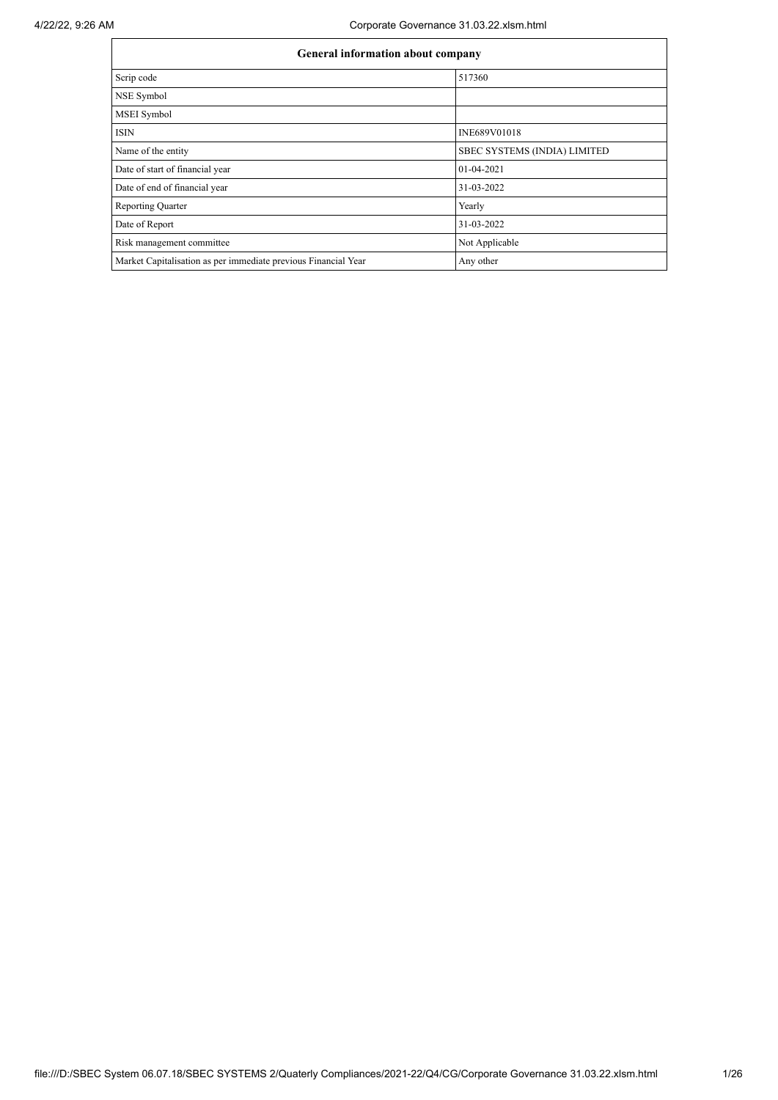| General information about company                              |                              |  |  |  |  |  |
|----------------------------------------------------------------|------------------------------|--|--|--|--|--|
| Scrip code                                                     | 517360                       |  |  |  |  |  |
| NSE Symbol                                                     |                              |  |  |  |  |  |
| MSEI Symbol                                                    |                              |  |  |  |  |  |
| <b>ISIN</b>                                                    | INE689V01018                 |  |  |  |  |  |
| Name of the entity                                             | SBEC SYSTEMS (INDIA) LIMITED |  |  |  |  |  |
| Date of start of financial year                                | 01-04-2021                   |  |  |  |  |  |
| Date of end of financial year                                  | 31-03-2022                   |  |  |  |  |  |
| <b>Reporting Quarter</b>                                       | Yearly                       |  |  |  |  |  |
| Date of Report                                                 | 31-03-2022                   |  |  |  |  |  |
| Risk management committee                                      | Not Applicable               |  |  |  |  |  |
| Market Capitalisation as per immediate previous Financial Year | Any other                    |  |  |  |  |  |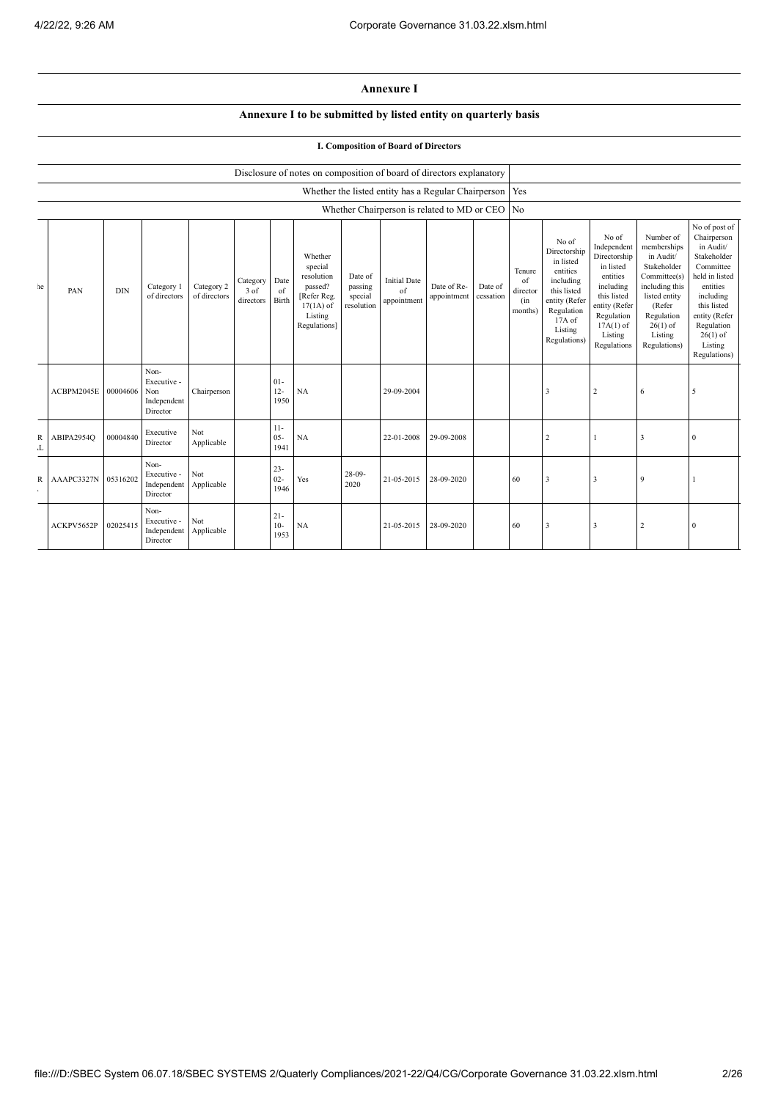## **Annexure I**

## **Annexure I to be submitted by listed entity on quarterly basis**

## **I. Composition of Board of Directors**

|         |            | Disclosure of notes on composition of board of directors explanatory |                                                       |                            |                               |                          |                                                                                                      |                                             |                                          |                                                     |                      |                                            |                                                                                                                                                  |                                                                                                                                                                   |                                                                                                                                                                          |                                                                                                                                                                                                         |
|---------|------------|----------------------------------------------------------------------|-------------------------------------------------------|----------------------------|-------------------------------|--------------------------|------------------------------------------------------------------------------------------------------|---------------------------------------------|------------------------------------------|-----------------------------------------------------|----------------------|--------------------------------------------|--------------------------------------------------------------------------------------------------------------------------------------------------|-------------------------------------------------------------------------------------------------------------------------------------------------------------------|--------------------------------------------------------------------------------------------------------------------------------------------------------------------------|---------------------------------------------------------------------------------------------------------------------------------------------------------------------------------------------------------|
|         |            |                                                                      |                                                       |                            |                               |                          |                                                                                                      |                                             |                                          | Whether the listed entity has a Regular Chairperson |                      | Yes                                        |                                                                                                                                                  |                                                                                                                                                                   |                                                                                                                                                                          |                                                                                                                                                                                                         |
|         |            |                                                                      |                                                       |                            |                               |                          |                                                                                                      |                                             |                                          | Whether Chairperson is related to MD or CEO         |                      | N <sub>o</sub>                             |                                                                                                                                                  |                                                                                                                                                                   |                                                                                                                                                                          |                                                                                                                                                                                                         |
| $_{1e}$ | PAN        | <b>DIN</b>                                                           | Category 1<br>of directors                            | Category 2<br>of directors | Category<br>3 of<br>directors | Date<br>of<br>Birth      | Whether<br>special<br>resolution<br>passed?<br>[Refer Reg.<br>$17(1A)$ of<br>Listing<br>Regulations] | Date of<br>passing<br>special<br>resolution | <b>Initial Date</b><br>of<br>appointment | Date of Re-<br>appointment                          | Date of<br>cessation | Tenure<br>of<br>director<br>(in<br>months) | No of<br>Directorship<br>in listed<br>entities<br>including<br>this listed<br>entity (Refer<br>Regulation<br>$17A$ of<br>Listing<br>Regulations) | No of<br>Independent<br>Directorship<br>in listed<br>entities<br>including<br>this listed<br>entity (Refer<br>Regulation<br>$17A(1)$ of<br>Listing<br>Regulations | Number of<br>memberships<br>in Audit/<br>Stakeholder<br>Committee(s)<br>including this<br>listed entity<br>(Refer<br>Regulation<br>$26(1)$ of<br>Listing<br>Regulations) | No of post of<br>Chairperson<br>in Audit/<br>Stakeholder<br>Committee<br>held in listed<br>entities<br>including<br>this listed<br>entity (Refer<br>Regulation<br>$26(1)$ of<br>Listing<br>Regulations) |
|         | ACBPM2045E | 00004606                                                             | Non-<br>Executive -<br>Non<br>Independent<br>Director | Chairperson                |                               | $01 -$<br>$12 -$<br>1950 | NA                                                                                                   |                                             | 29-09-2004                               |                                                     |                      |                                            | 3                                                                                                                                                | $\overline{2}$                                                                                                                                                    | 6                                                                                                                                                                        | 5                                                                                                                                                                                                       |
| R<br>L  | ABIPA2954Q | 00004840                                                             | Executive<br>Director                                 | Not<br>Applicable          |                               | $11-$<br>$05 -$<br>1941  | NA                                                                                                   |                                             | 22-01-2008                               | 29-09-2008                                          |                      |                                            | $\overline{2}$                                                                                                                                   |                                                                                                                                                                   | 3                                                                                                                                                                        | $\mathbf{0}$                                                                                                                                                                                            |
| R       | AAAPC3327N | 05316202                                                             | Non-<br>Executive -<br>Independent<br>Director        | Not<br>Applicable          |                               | $23 -$<br>$02 -$<br>1946 | Yes                                                                                                  | $28-09-$<br>2020                            | 21-05-2015                               | 28-09-2020                                          |                      | 60                                         | 3                                                                                                                                                | 3                                                                                                                                                                 | 9                                                                                                                                                                        |                                                                                                                                                                                                         |
|         | ACKPV5652P | 02025415                                                             | Non-<br>Executive -<br>Independent<br>Director        | Not<br>Applicable          |                               | $21 -$<br>$10-$<br>1953  | NA                                                                                                   |                                             | 21-05-2015                               | 28-09-2020                                          |                      | 60                                         | 3                                                                                                                                                | 3                                                                                                                                                                 | $\overline{2}$                                                                                                                                                           | $\mathbf{0}$                                                                                                                                                                                            |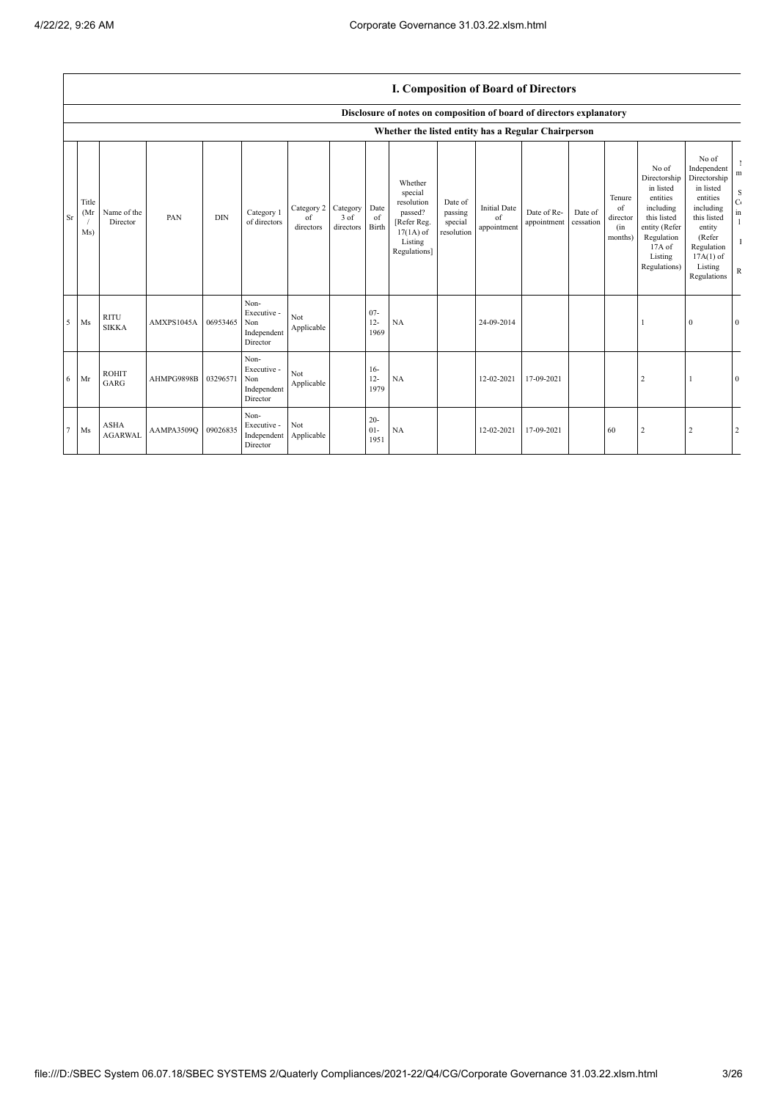|           |                     | I. Composition of Board of Directors |                     |            |                                                       |                               |                               |                          |                                                                                                      |                                             |                                          |                            |                      |                                            |                                                                                                                                                |                                                                                                                                                                      |                                                                             |
|-----------|---------------------|--------------------------------------|---------------------|------------|-------------------------------------------------------|-------------------------------|-------------------------------|--------------------------|------------------------------------------------------------------------------------------------------|---------------------------------------------|------------------------------------------|----------------------------|----------------------|--------------------------------------------|------------------------------------------------------------------------------------------------------------------------------------------------|----------------------------------------------------------------------------------------------------------------------------------------------------------------------|-----------------------------------------------------------------------------|
|           |                     |                                      |                     |            |                                                       |                               |                               |                          | Disclosure of notes on composition of board of directors explanatory                                 |                                             |                                          |                            |                      |                                            |                                                                                                                                                |                                                                                                                                                                      |                                                                             |
|           |                     |                                      |                     |            |                                                       |                               |                               |                          | Whether the listed entity has a Regular Chairperson                                                  |                                             |                                          |                            |                      |                                            |                                                                                                                                                |                                                                                                                                                                      |                                                                             |
| <b>Sr</b> | Title<br>(Mr<br>Ms) | Name of the<br>Director              | PAN                 | <b>DIN</b> | Category 1<br>of directors                            | Category 2<br>of<br>directors | Category<br>3 of<br>directors | Date<br>of<br>Birth      | Whether<br>special<br>resolution<br>passed?<br>[Refer Reg.<br>$17(1A)$ of<br>Listing<br>Regulations] | Date of<br>passing<br>special<br>resolution | <b>Initial Date</b><br>of<br>appointment | Date of Re-<br>appointment | Date of<br>cessation | Tenure<br>of<br>director<br>(in<br>months) | No of<br>Directorship<br>in listed<br>entities<br>including<br>this listed<br>entity (Refer<br>Regulation<br>17A of<br>Listing<br>Regulations) | No of<br>Independent<br>Directorship<br>in listed<br>entities<br>including<br>this listed<br>entity<br>(Refer<br>Regulation<br>$17A(1)$ of<br>Listing<br>Regulations | m<br>$\mathbf S$<br>$\mathbf C$<br>in<br>$\mathbf{1}$<br>-1<br>$\, {\bf R}$ |
| .5        | Ms                  | <b>RITU</b><br><b>SIKKA</b>          | AMXPS1045A 06953465 |            | Non-<br>Executive -<br>Non<br>Independent<br>Director | Not<br>Applicable             |                               | $07 -$<br>$12 -$<br>1969 | NA                                                                                                   |                                             | 24-09-2014                               |                            |                      |                                            |                                                                                                                                                | $\Omega$                                                                                                                                                             | $\mathbf{0}$                                                                |
| 6         | Mr                  | <b>ROHIT</b><br><b>GARG</b>          | AHMPG9898B 03296571 |            | Non-<br>Executive -<br>Non<br>Independent<br>Director | Not<br>Applicable             |                               | $16-$<br>$12 -$<br>1979  | NA                                                                                                   |                                             | 12-02-2021                               | 17-09-2021                 |                      |                                            |                                                                                                                                                |                                                                                                                                                                      | $\theta$                                                                    |
|           | Ms                  | <b>ASHA</b><br><b>AGARWAL</b>        | AAMPA3509O 09026835 |            | Non-<br>Executive -<br>Independent<br>Director        | Not<br>Applicable             |                               | $20 -$<br>$01 -$<br>1951 | NA                                                                                                   |                                             | 12-02-2021                               | 17-09-2021                 |                      | 60                                         | $\overline{2}$                                                                                                                                 | 2                                                                                                                                                                    | 2                                                                           |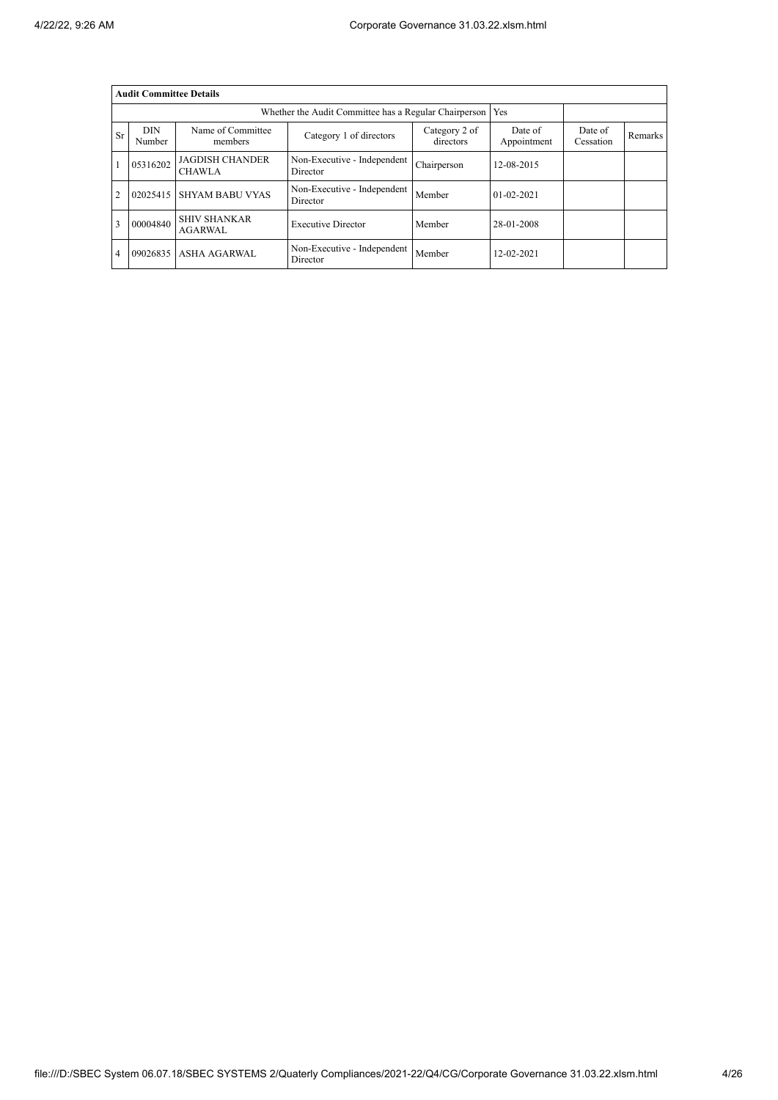|                | <b>Audit Committee Details</b> |                                         |                                                       |                            |                        |                      |         |  |  |  |
|----------------|--------------------------------|-----------------------------------------|-------------------------------------------------------|----------------------------|------------------------|----------------------|---------|--|--|--|
|                |                                |                                         | Whether the Audit Committee has a Regular Chairperson | Yes                        |                        |                      |         |  |  |  |
| <b>Sr</b>      | <b>DIN</b><br>Number           | Name of Committee<br>members            | Category 1 of directors                               | Category 2 of<br>directors | Date of<br>Appointment | Date of<br>Cessation | Remarks |  |  |  |
|                | 05316202                       | <b>JAGDISH CHANDER</b><br><b>CHAWLA</b> | Non-Executive - Independent<br>Director               | Chairperson                | 12-08-2015             |                      |         |  |  |  |
| $\overline{2}$ | 02025415                       | <b>SHYAM BABU VYAS</b>                  | Non-Executive - Independent<br>Director               | Member                     | $01 - 02 - 2021$       |                      |         |  |  |  |
| 3              | 00004840                       | <b>SHIV SHANKAR</b><br><b>AGARWAL</b>   | <b>Executive Director</b>                             | Member                     | 28-01-2008             |                      |         |  |  |  |
| $\overline{4}$ |                                | 09026835 ASHA AGARWAL                   | Non-Executive - Independent<br>Director               | Member                     | 12-02-2021             |                      |         |  |  |  |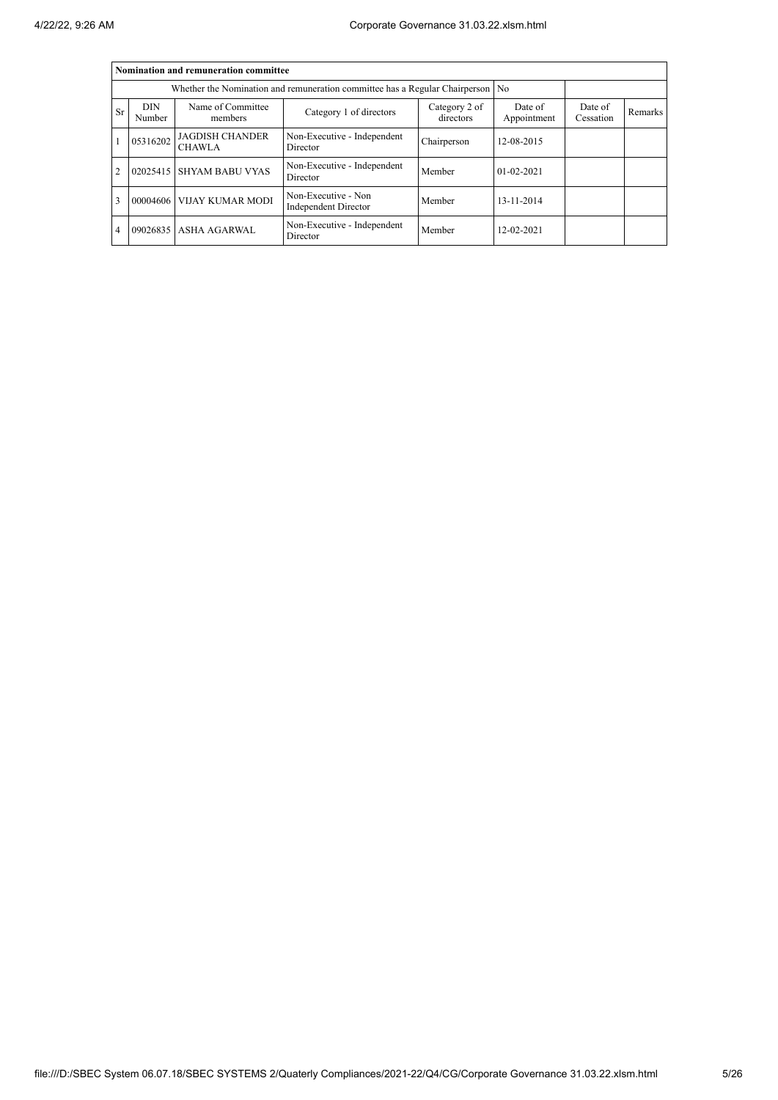|                | Nomination and remuneration committee                                          |                                         |                                             |                            |                        |                      |         |  |  |  |  |
|----------------|--------------------------------------------------------------------------------|-----------------------------------------|---------------------------------------------|----------------------------|------------------------|----------------------|---------|--|--|--|--|
|                | Whether the Nomination and remuneration committee has a Regular Chairperson No |                                         |                                             |                            |                        |                      |         |  |  |  |  |
| Sr             | <b>DIN</b><br>Number                                                           | Name of Committee<br>members            | Category 1 of directors                     | Category 2 of<br>directors | Date of<br>Appointment | Date of<br>Cessation | Remarks |  |  |  |  |
|                | 05316202                                                                       | <b>JAGDISH CHANDER</b><br><b>CHAWLA</b> | Non-Executive - Independent<br>Director     | Chairperson                | 12-08-2015             |                      |         |  |  |  |  |
| $\overline{2}$ | 02025415                                                                       | <b>SHYAM BABU VYAS</b>                  | Non-Executive - Independent<br>Director     | Member                     | $01 - 02 - 2021$       |                      |         |  |  |  |  |
| 3              |                                                                                | 00004606 VIJAY KUMAR MODI               | Non-Executive - Non<br>Independent Director | Member                     | 13-11-2014             |                      |         |  |  |  |  |
| 4              |                                                                                | 09026835 ASHA AGARWAL                   | Non-Executive - Independent<br>Director     | Member                     | 12-02-2021             |                      |         |  |  |  |  |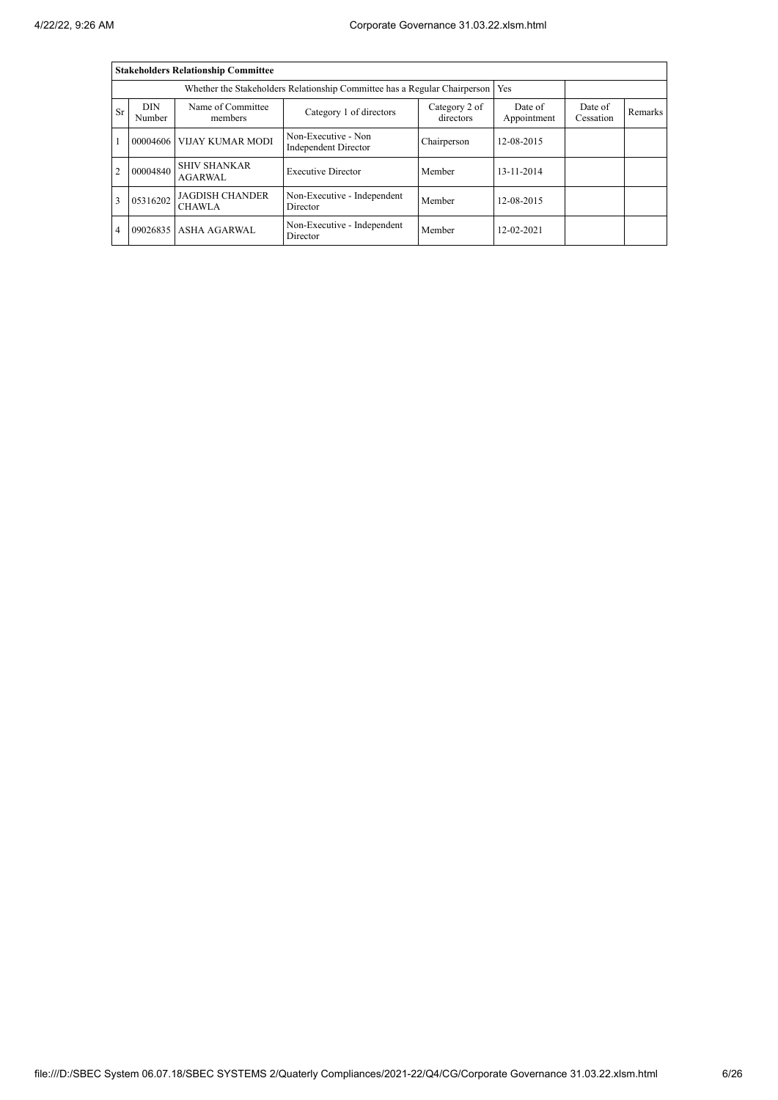|                | <b>Stakeholders Relationship Committee</b> |                                                                                 |                                             |                            |                        |                      |         |  |  |
|----------------|--------------------------------------------|---------------------------------------------------------------------------------|---------------------------------------------|----------------------------|------------------------|----------------------|---------|--|--|
|                |                                            | Whether the Stakeholders Relationship Committee has a Regular Chairperson   Yes |                                             |                            |                        |                      |         |  |  |
| Sr             | <b>DIN</b><br>Number                       | Name of Committee<br>members                                                    | Category 1 of directors                     | Category 2 of<br>directors | Date of<br>Appointment | Date of<br>Cessation | Remarks |  |  |
|                |                                            | 00004606 VIJAY KUMAR MODI                                                       | Non-Executive - Non<br>Independent Director | Chairperson                | 12-08-2015             |                      |         |  |  |
| $\overline{2}$ | 00004840                                   | <b>SHIV SHANKAR</b><br><b>AGARWAL</b>                                           | <b>Executive Director</b>                   | Member                     | 13-11-2014             |                      |         |  |  |
| 3              | 05316202                                   | <b>JAGDISH CHANDER</b><br><b>CHAWLA</b>                                         | Non-Executive - Independent<br>Director     | Member                     | 12-08-2015             |                      |         |  |  |
| $\overline{4}$ |                                            | 09026835 ASHA AGARWAL                                                           | Non-Executive - Independent<br>Director     | Member                     | 12-02-2021             |                      |         |  |  |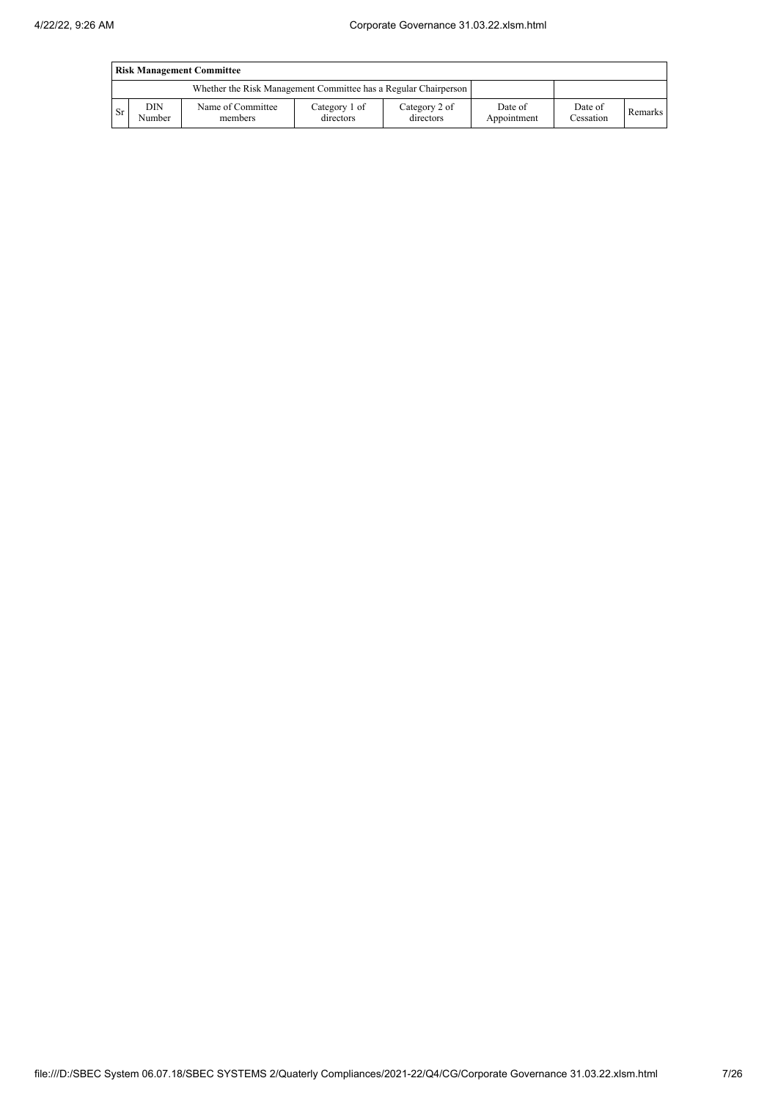|      | <b>Risk Management Committee</b> |                                                                 |                            |                            |                        |                      |         |  |  |
|------|----------------------------------|-----------------------------------------------------------------|----------------------------|----------------------------|------------------------|----------------------|---------|--|--|
|      |                                  | Whether the Risk Management Committee has a Regular Chairperson |                            |                            |                        |                      |         |  |  |
| l Sr | <b>DIN</b><br>Number             | Name of Committee<br>members                                    | Category 1 of<br>directors | Category 2 of<br>directors | Date of<br>Appointment | Date of<br>Cessation | Remarks |  |  |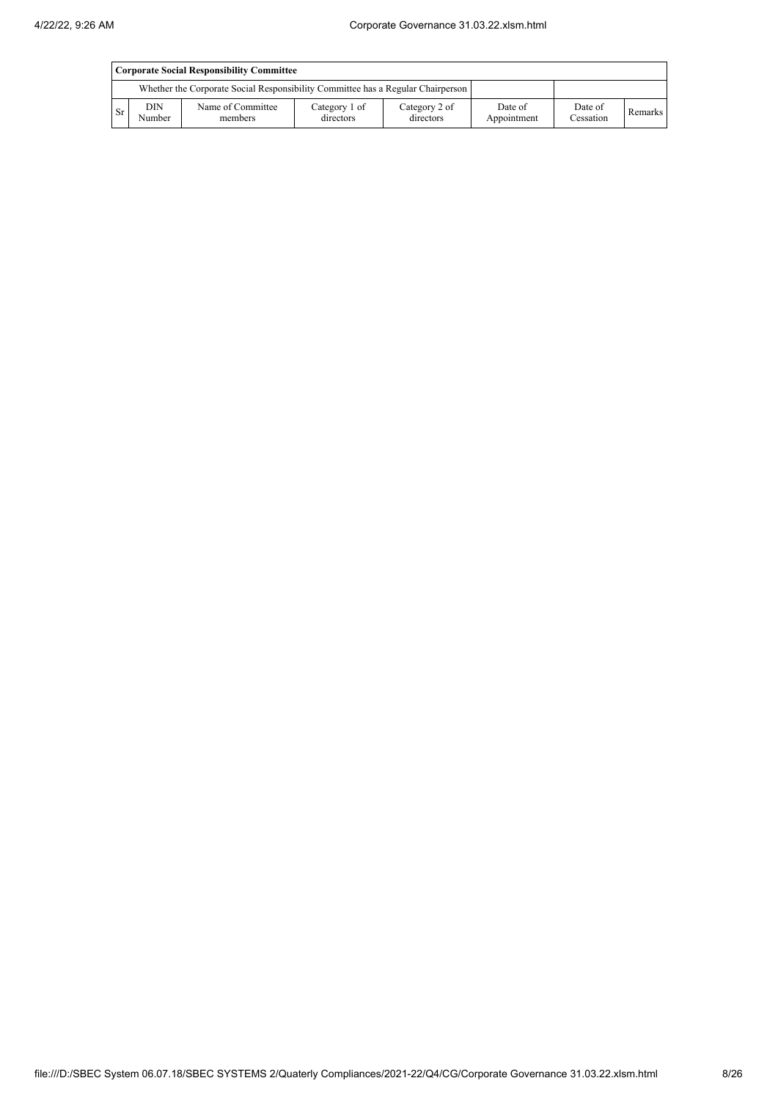|           | Corporate Social Responsibility Committee |                                                                                 |                            |                            |                        |                      |         |  |  |
|-----------|-------------------------------------------|---------------------------------------------------------------------------------|----------------------------|----------------------------|------------------------|----------------------|---------|--|--|
|           |                                           | Whether the Corporate Social Responsibility Committee has a Regular Chairperson |                            |                            |                        |                      |         |  |  |
| <b>Sr</b> | <b>DIN</b><br>Number                      | Name of Committee<br>members                                                    | Category 1 of<br>directors | Category 2 of<br>directors | Date of<br>Appointment | Date of<br>Cessation | Remarks |  |  |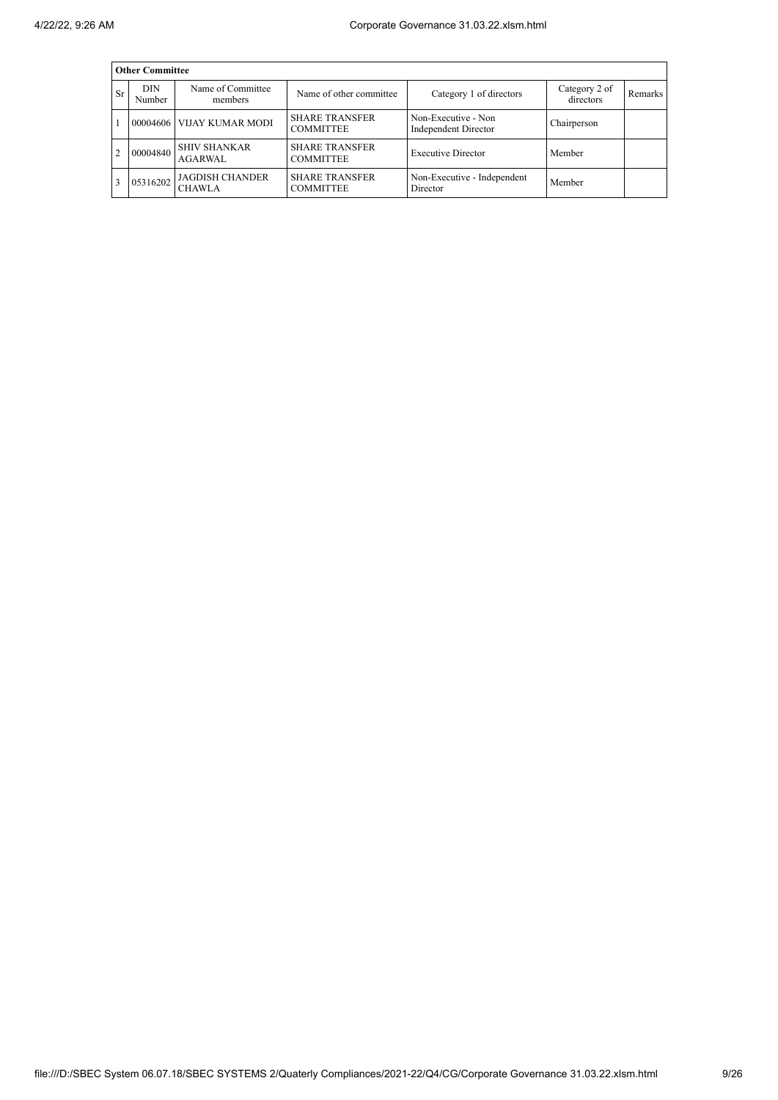|                | <b>Other Committee</b> |                                         |                                           |                                             |                            |         |  |  |  |  |
|----------------|------------------------|-----------------------------------------|-------------------------------------------|---------------------------------------------|----------------------------|---------|--|--|--|--|
| Sr             | <b>DIN</b><br>Number   | Name of Committee<br>members            | Name of other committee                   | Category 1 of directors                     | Category 2 of<br>directors | Remarks |  |  |  |  |
|                |                        | 00004606 VIJAY KUMAR MODI               | <b>SHARE TRANSFER</b><br><b>COMMITTEE</b> | Non-Executive - Non<br>Independent Director | Chairperson                |         |  |  |  |  |
| $\overline{c}$ | 00004840               | <b>SHIV SHANKAR</b><br><b>AGARWAL</b>   | <b>SHARE TRANSFER</b><br><b>COMMITTEE</b> | <b>Executive Director</b>                   | Member                     |         |  |  |  |  |
|                | 05316202               | <b>JAGDISH CHANDER</b><br><b>CHAWLA</b> | <b>SHARE TRANSFER</b><br><b>COMMITTEE</b> | Non-Executive - Independent<br>Director     | Member                     |         |  |  |  |  |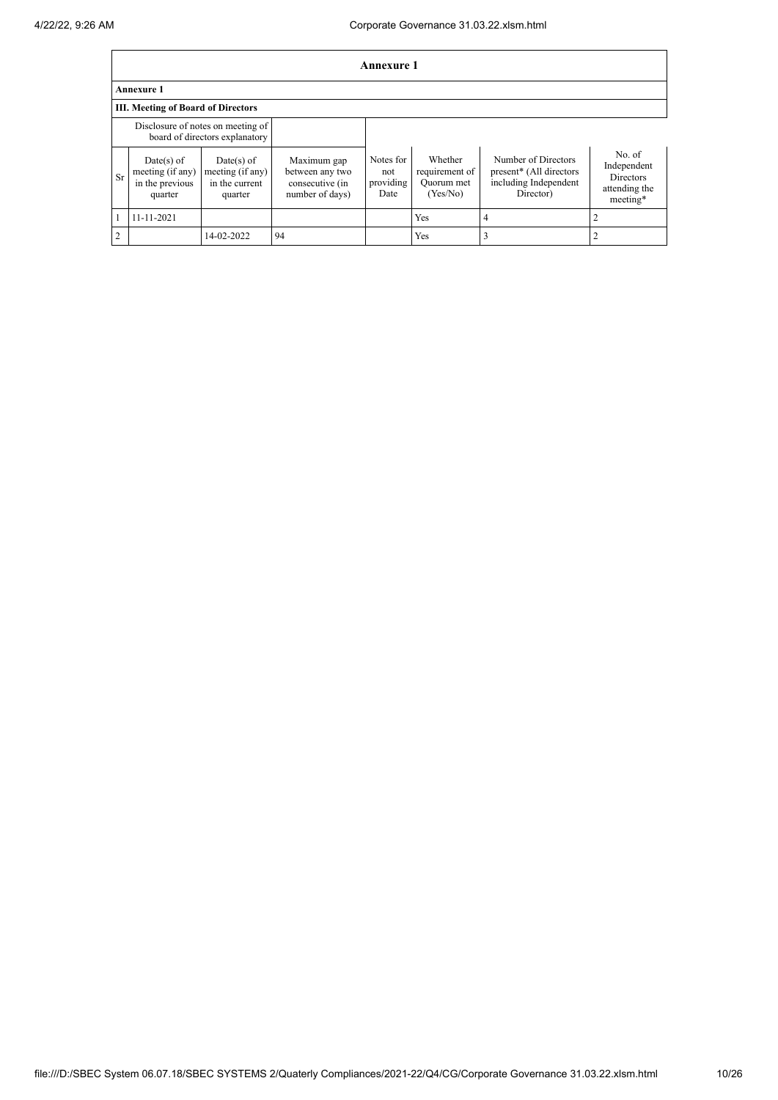|                | Annexure 1                                                          |                                                               |                                                                      |                                       |                                                     |                                                                                      |                                                                        |  |  |
|----------------|---------------------------------------------------------------------|---------------------------------------------------------------|----------------------------------------------------------------------|---------------------------------------|-----------------------------------------------------|--------------------------------------------------------------------------------------|------------------------------------------------------------------------|--|--|
|                | <b>Annexure 1</b>                                                   |                                                               |                                                                      |                                       |                                                     |                                                                                      |                                                                        |  |  |
|                | <b>III. Meeting of Board of Directors</b>                           |                                                               |                                                                      |                                       |                                                     |                                                                                      |                                                                        |  |  |
|                | Disclosure of notes on meeting of<br>board of directors explanatory |                                                               |                                                                      |                                       |                                                     |                                                                                      |                                                                        |  |  |
| Sr             | Date(s) of<br>meeting (if any)<br>in the previous<br>quarter        | $Date(s)$ of<br>meeting (if any)<br>in the current<br>quarter | Maximum gap<br>between any two<br>consecutive (in<br>number of days) | Notes for<br>not<br>providing<br>Date | Whether<br>requirement of<br>Quorum met<br>(Yes/No) | Number of Directors<br>present* (All directors<br>including Independent<br>Director) | No. of<br>Independent<br><b>Directors</b><br>attending the<br>meeting* |  |  |
|                | 11-11-2021                                                          |                                                               |                                                                      |                                       | Yes                                                 | 4                                                                                    |                                                                        |  |  |
| $\overline{2}$ |                                                                     | 14-02-2022                                                    | 94                                                                   |                                       | Yes                                                 |                                                                                      |                                                                        |  |  |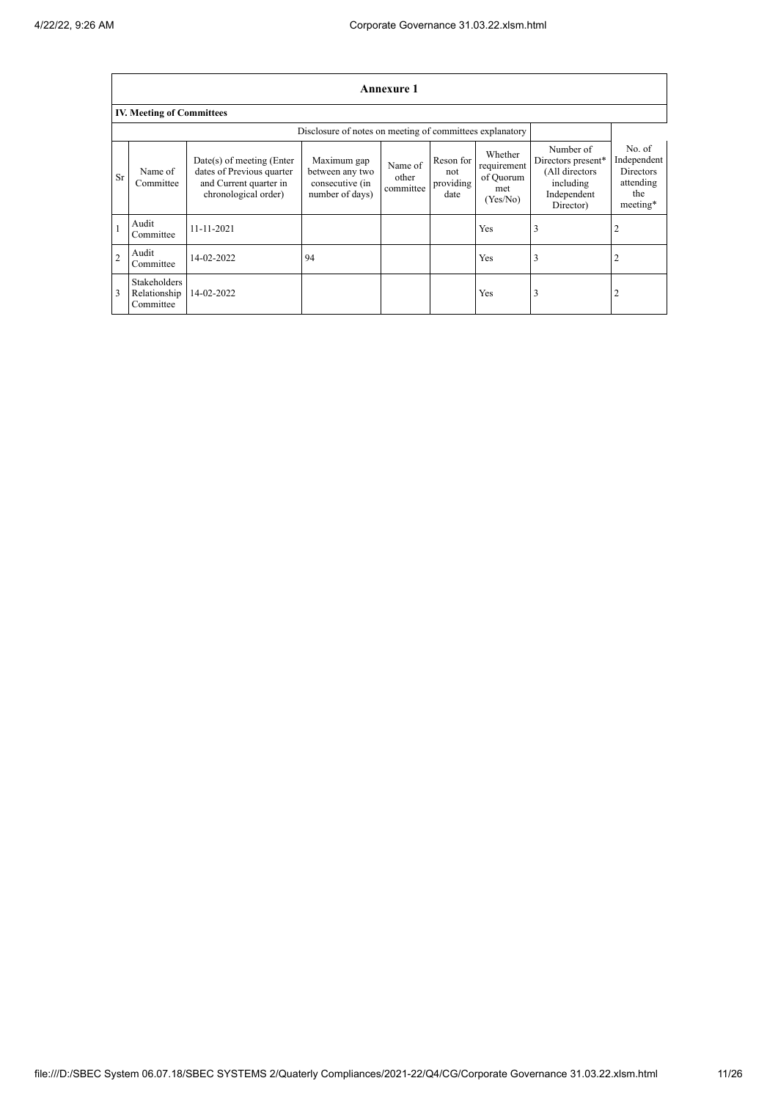$\overline{1}$ 

٦

|                | Annexure 1                                               |                                                                                                          |                                                                      |                               |                                       |                                                        |                                                                                            |                                                                           |  |  |
|----------------|----------------------------------------------------------|----------------------------------------------------------------------------------------------------------|----------------------------------------------------------------------|-------------------------------|---------------------------------------|--------------------------------------------------------|--------------------------------------------------------------------------------------------|---------------------------------------------------------------------------|--|--|
|                | <b>IV. Meeting of Committees</b>                         |                                                                                                          |                                                                      |                               |                                       |                                                        |                                                                                            |                                                                           |  |  |
|                | Disclosure of notes on meeting of committees explanatory |                                                                                                          |                                                                      |                               |                                       |                                                        |                                                                                            |                                                                           |  |  |
| <b>Sr</b>      | Name of<br>Committee                                     | Date(s) of meeting (Enter<br>dates of Previous quarter<br>and Current quarter in<br>chronological order) | Maximum gap<br>between any two<br>consecutive (in<br>number of days) | Name of<br>other<br>committee | Reson for<br>not<br>providing<br>date | Whether<br>requirement<br>of Quorum<br>met<br>(Yes/No) | Number of<br>Directors present*<br>(All directors<br>including<br>Independent<br>Director) | No. of<br>Independent<br><b>Directors</b><br>attending<br>the<br>meeting* |  |  |
|                | Audit<br>Committee                                       | $11 - 11 - 2021$                                                                                         |                                                                      |                               |                                       | Yes                                                    | 3                                                                                          |                                                                           |  |  |
| $\overline{2}$ | Audit<br>Committee                                       | 14-02-2022                                                                                               | 94                                                                   |                               |                                       | Yes                                                    | 3                                                                                          |                                                                           |  |  |
|                | Stakeholders<br>Relationship<br>Committee                | 14-02-2022                                                                                               |                                                                      |                               |                                       | Yes                                                    | 3                                                                                          | 2                                                                         |  |  |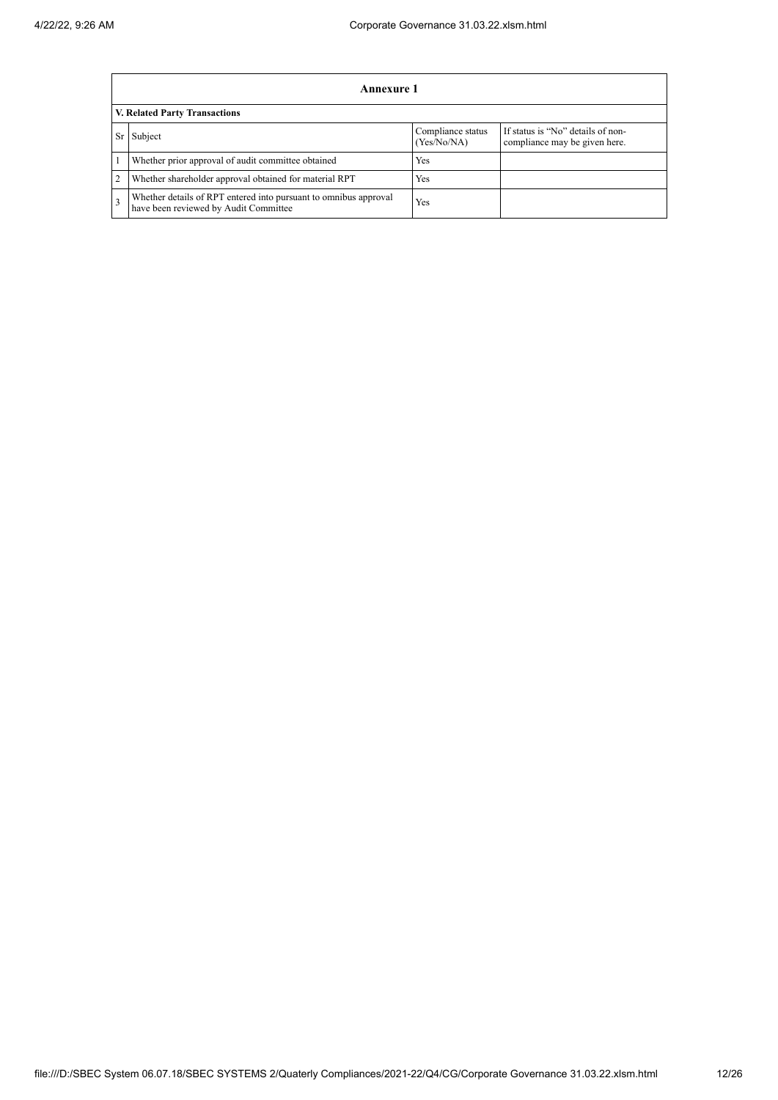|                | Annexure 1                                                                                                |                                  |                                                                    |  |  |  |  |  |
|----------------|-----------------------------------------------------------------------------------------------------------|----------------------------------|--------------------------------------------------------------------|--|--|--|--|--|
|                | V. Related Party Transactions                                                                             |                                  |                                                                    |  |  |  |  |  |
| Sr             | Subject                                                                                                   | Compliance status<br>(Yes/No/NA) | If status is "No" details of non-<br>compliance may be given here. |  |  |  |  |  |
|                | Whether prior approval of audit committee obtained                                                        | Yes                              |                                                                    |  |  |  |  |  |
| $\overline{2}$ | Whether shareholder approval obtained for material RPT                                                    | Yes                              |                                                                    |  |  |  |  |  |
| 3              | Whether details of RPT entered into pursuant to omnibus approval<br>have been reviewed by Audit Committee | Yes                              |                                                                    |  |  |  |  |  |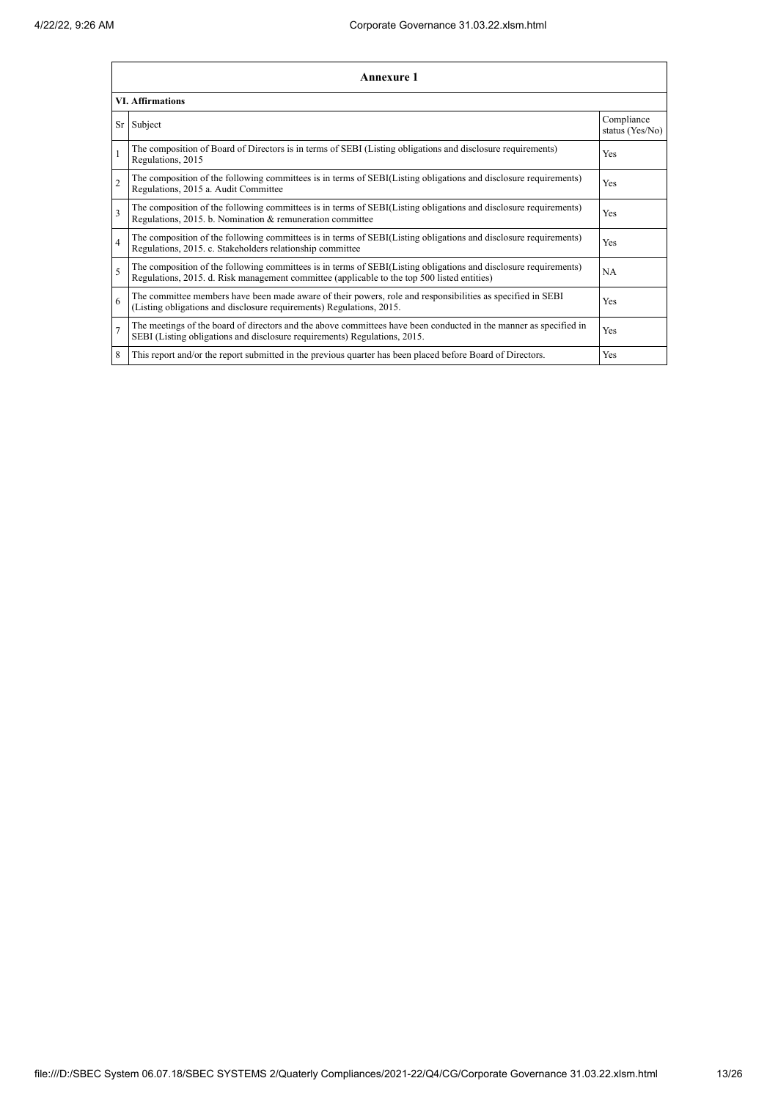|                         | Annexure 1                                                                                                                                                                                                      |                               |
|-------------------------|-----------------------------------------------------------------------------------------------------------------------------------------------------------------------------------------------------------------|-------------------------------|
|                         | <b>VI.</b> Affirmations                                                                                                                                                                                         |                               |
|                         | Sr Subject                                                                                                                                                                                                      | Compliance<br>status (Yes/No) |
| $\mathbf{1}$            | The composition of Board of Directors is in terms of SEBI (Listing obligations and disclosure requirements)<br>Regulations, 2015                                                                                | Yes                           |
| $\overline{2}$          | The composition of the following committees is in terms of SEBI(Listing obligations and disclosure requirements)<br>Regulations, 2015 a. Audit Committee                                                        | Yes                           |
| $\overline{\mathbf{3}}$ | The composition of the following committees is in terms of SEBI(Listing obligations and disclosure requirements)<br>Regulations, 2015. b. Nomination & remuneration committee                                   | Yes                           |
| $\overline{4}$          | The composition of the following committees is in terms of SEBI(Listing obligations and disclosure requirements)<br>Regulations, 2015. c. Stakeholders relationship committee                                   | Yes                           |
| 5                       | The composition of the following committees is in terms of SEBI(Listing obligations and disclosure requirements)<br>Regulations, 2015. d. Risk management committee (applicable to the top 500 listed entities) | <b>NA</b>                     |
| 6                       | The committee members have been made aware of their powers, role and responsibilities as specified in SEBI<br>(Listing obligations and disclosure requirements) Regulations, 2015.                              | Yes                           |
| $\overline{7}$          | The meetings of the board of directors and the above committees have been conducted in the manner as specified in<br>SEBI (Listing obligations and disclosure requirements) Regulations, 2015.                  | Yes                           |
| 8                       | This report and/or the report submitted in the previous quarter has been placed before Board of Directors.                                                                                                      | Yes                           |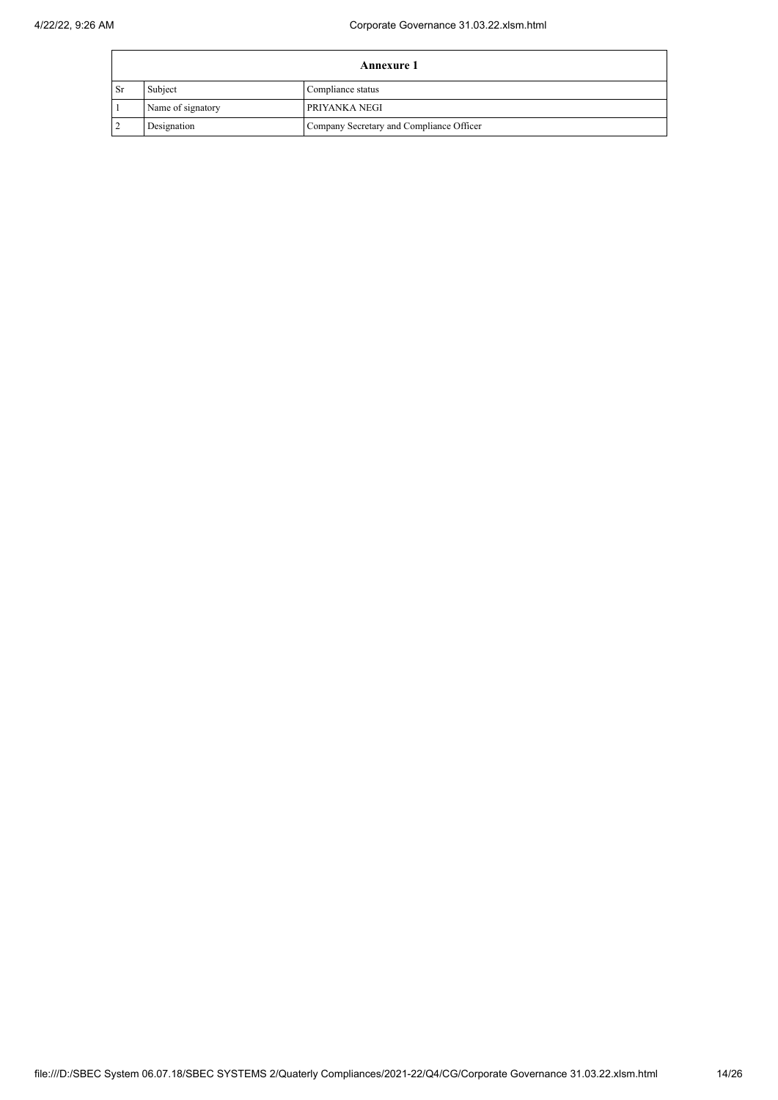|                 | <b>Annexure 1</b> |                                          |  |  |
|-----------------|-------------------|------------------------------------------|--|--|
| <sup>1</sup> Sr | Subject           | Compliance status                        |  |  |
|                 | Name of signatory | PRIYANKA NEGI                            |  |  |
|                 | Designation       | Company Secretary and Compliance Officer |  |  |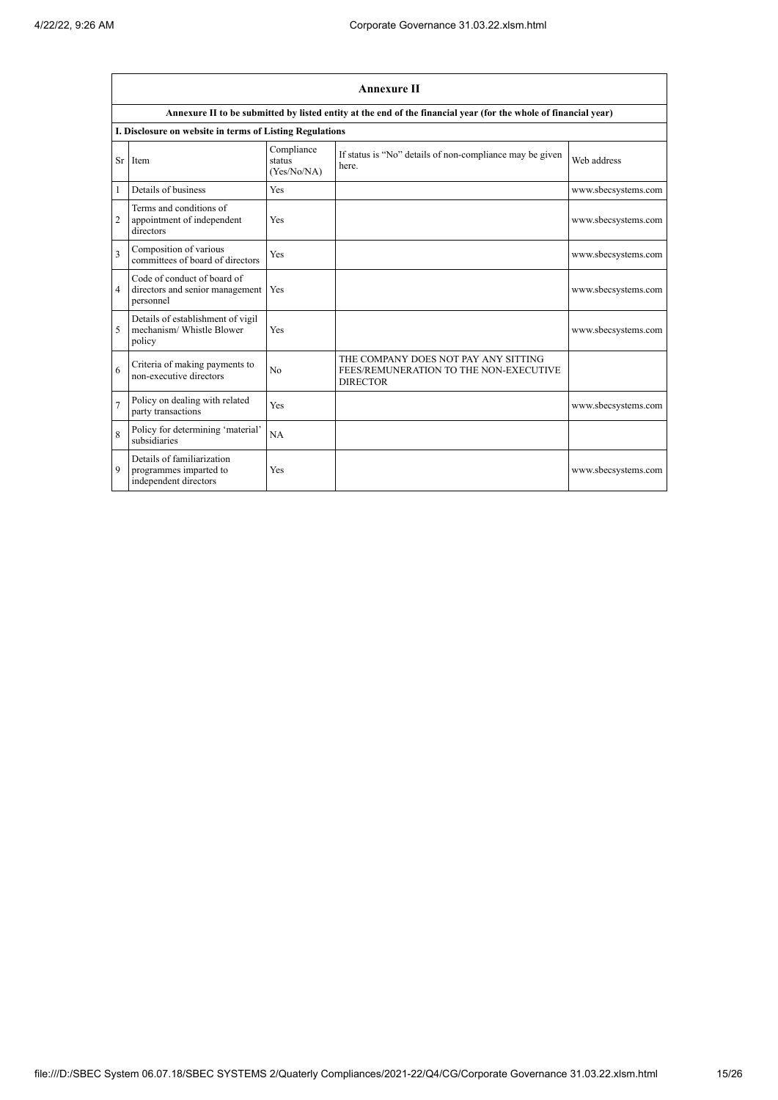|                         | <b>Annexure II</b>                                                            |                                     |                                                                                                                 |                     |  |  |
|-------------------------|-------------------------------------------------------------------------------|-------------------------------------|-----------------------------------------------------------------------------------------------------------------|---------------------|--|--|
|                         |                                                                               |                                     | Annexure II to be submitted by listed entity at the end of the financial year (for the whole of financial year) |                     |  |  |
|                         | I. Disclosure on website in terms of Listing Regulations                      |                                     |                                                                                                                 |                     |  |  |
| Sr                      | Item                                                                          | Compliance<br>status<br>(Yes/No/NA) | If status is "No" details of non-compliance may be given<br>here.                                               | Web address         |  |  |
| 1                       | Details of business                                                           | Yes                                 |                                                                                                                 | www.sbecsystems.com |  |  |
| $\overline{c}$          | Terms and conditions of<br>appointment of independent<br>directors            | Yes                                 |                                                                                                                 | www.sbecsystems.com |  |  |
| $\overline{\mathbf{3}}$ | Composition of various<br>committees of board of directors                    | Yes                                 |                                                                                                                 | www.sbecsystems.com |  |  |
| 4                       | Code of conduct of board of<br>directors and senior management<br>personnel   | Yes                                 |                                                                                                                 | www.sbecsystems.com |  |  |
| 5                       | Details of establishment of vigil<br>mechanism/ Whistle Blower<br>policy      | Yes                                 |                                                                                                                 | www.sbecsystems.com |  |  |
| 6                       | Criteria of making payments to<br>non-executive directors                     | No                                  | THE COMPANY DOES NOT PAY ANY SITTING<br>FEES/REMUNERATION TO THE NON-EXECUTIVE<br><b>DIRECTOR</b>               |                     |  |  |
| $\overline{7}$          | Policy on dealing with related<br>party transactions                          | Yes                                 |                                                                                                                 | www.sbecsystems.com |  |  |
| 8                       | Policy for determining 'material'<br>subsidiaries                             | NA                                  |                                                                                                                 |                     |  |  |
| 9                       | Details of familiarization<br>programmes imparted to<br>independent directors | Yes                                 |                                                                                                                 | www.sbecsystems.com |  |  |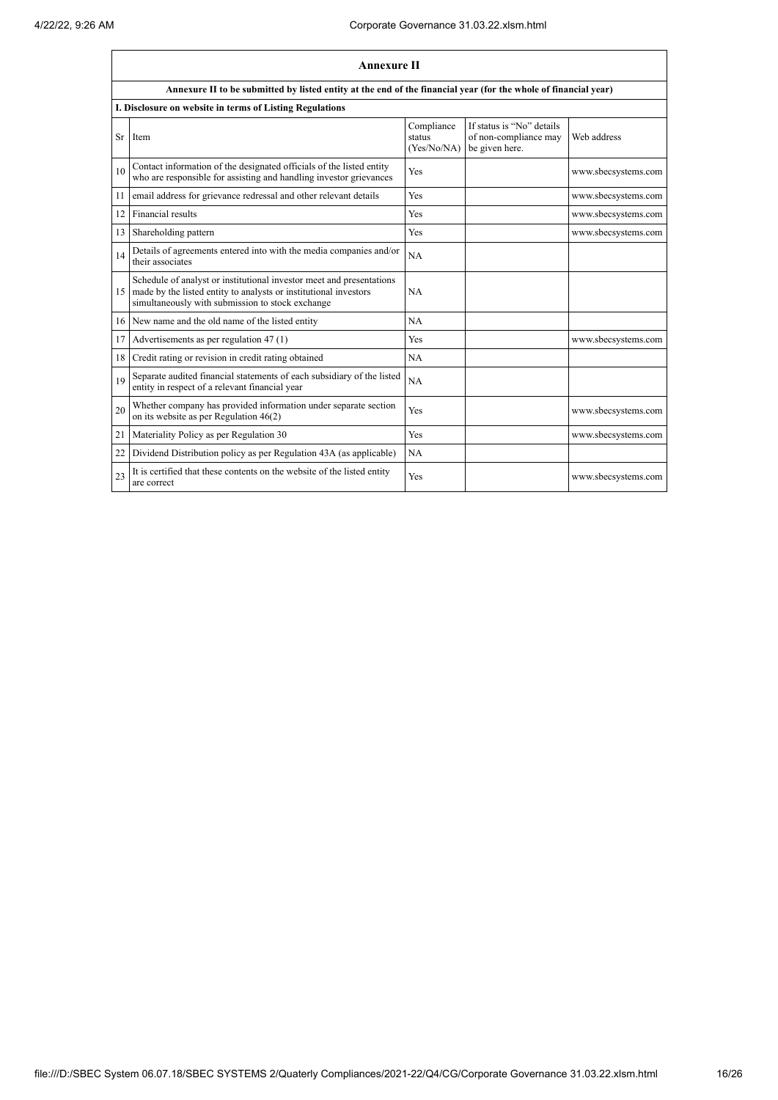|    | <b>Annexure II</b>                                                                                                                                                                           |                                     |                                                                      |                     |  |
|----|----------------------------------------------------------------------------------------------------------------------------------------------------------------------------------------------|-------------------------------------|----------------------------------------------------------------------|---------------------|--|
|    | Annexure II to be submitted by listed entity at the end of the financial year (for the whole of financial year)                                                                              |                                     |                                                                      |                     |  |
|    | I. Disclosure on website in terms of Listing Regulations                                                                                                                                     |                                     |                                                                      |                     |  |
| Sr | Item                                                                                                                                                                                         | Compliance<br>status<br>(Yes/No/NA) | If status is "No" details<br>of non-compliance may<br>be given here. | Web address         |  |
| 10 | Contact information of the designated officials of the listed entity<br>who are responsible for assisting and handling investor grievances                                                   | <b>Yes</b>                          |                                                                      | www.sbecsystems.com |  |
| 11 | email address for grievance redressal and other relevant details                                                                                                                             | Yes                                 |                                                                      | www.sbecsystems.com |  |
| 12 | Financial results                                                                                                                                                                            | Yes                                 |                                                                      | www.sbecsystems.com |  |
| 13 | Shareholding pattern                                                                                                                                                                         | Yes                                 |                                                                      | www.sbecsystems.com |  |
| 14 | Details of agreements entered into with the media companies and/or<br>their associates                                                                                                       | NA                                  |                                                                      |                     |  |
| 15 | Schedule of analyst or institutional investor meet and presentations<br>made by the listed entity to analysts or institutional investors<br>simultaneously with submission to stock exchange | NA                                  |                                                                      |                     |  |
|    | 16 New name and the old name of the listed entity                                                                                                                                            | NA                                  |                                                                      |                     |  |
| 17 | Advertisements as per regulation 47 (1)                                                                                                                                                      | Yes                                 |                                                                      | www.sbecsystems.com |  |
| 18 | Credit rating or revision in credit rating obtained                                                                                                                                          | NA                                  |                                                                      |                     |  |
| 19 | Separate audited financial statements of each subsidiary of the listed<br>entity in respect of a relevant financial year                                                                     | <b>NA</b>                           |                                                                      |                     |  |
| 20 | Whether company has provided information under separate section<br>on its website as per Regulation $46(2)$                                                                                  | Yes                                 |                                                                      | www.sbecsystems.com |  |
| 21 | Materiality Policy as per Regulation 30                                                                                                                                                      | Yes                                 |                                                                      | www.sbecsystems.com |  |
| 22 | Dividend Distribution policy as per Regulation 43A (as applicable)                                                                                                                           | NA                                  |                                                                      |                     |  |
| 23 | It is certified that these contents on the website of the listed entity<br>are correct                                                                                                       | <b>Yes</b>                          |                                                                      | www.sbecsystems.com |  |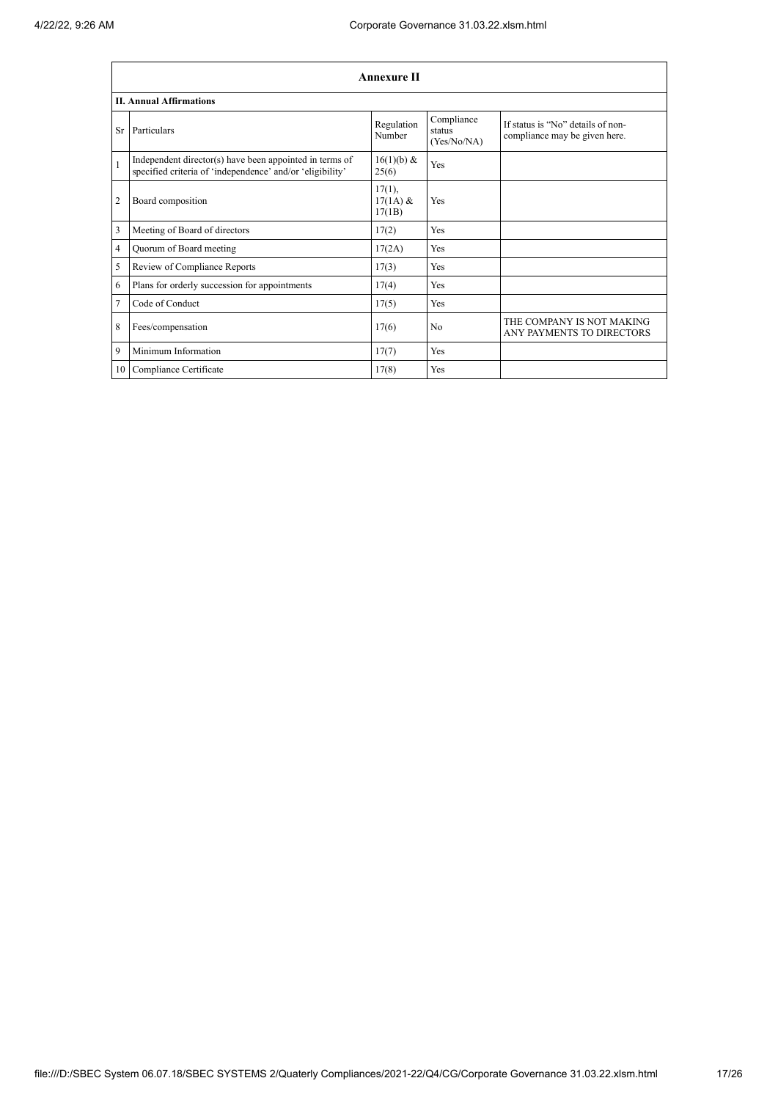|                | <b>Annexure II</b>                                                                                                   |                                   |                                     |                                                                    |  |  |
|----------------|----------------------------------------------------------------------------------------------------------------------|-----------------------------------|-------------------------------------|--------------------------------------------------------------------|--|--|
|                | <b>II. Annual Affirmations</b>                                                                                       |                                   |                                     |                                                                    |  |  |
| Sr             | Particulars                                                                                                          | Regulation<br>Number              | Compliance<br>status<br>(Yes/No/NA) | If status is "No" details of non-<br>compliance may be given here. |  |  |
| $\mathbf{1}$   | Independent director(s) have been appointed in terms of<br>specified criteria of 'independence' and/or 'eligibility' | 16(1)(b) &<br>25(6)               | Yes                                 |                                                                    |  |  |
| $\overline{2}$ | Board composition                                                                                                    | $17(1)$ ,<br>$17(1A)$ &<br>17(1B) | Yes                                 |                                                                    |  |  |
| 3              | Meeting of Board of directors                                                                                        | 17(2)                             | Yes                                 |                                                                    |  |  |
| $\overline{4}$ | Quorum of Board meeting                                                                                              | 17(2A)                            | Yes                                 |                                                                    |  |  |
| 5              | Review of Compliance Reports                                                                                         | 17(3)                             | Yes                                 |                                                                    |  |  |
| 6              | Plans for orderly succession for appointments                                                                        | 17(4)                             | Yes                                 |                                                                    |  |  |
| $\overline{7}$ | Code of Conduct                                                                                                      | 17(5)                             | Yes                                 |                                                                    |  |  |
| 8              | Fees/compensation                                                                                                    | 17(6)                             | No                                  | THE COMPANY IS NOT MAKING<br>ANY PAYMENTS TO DIRECTORS             |  |  |
| 9              | Minimum Information                                                                                                  | 17(7)                             | Yes                                 |                                                                    |  |  |
| 10             | Compliance Certificate                                                                                               | 17(8)                             | Yes                                 |                                                                    |  |  |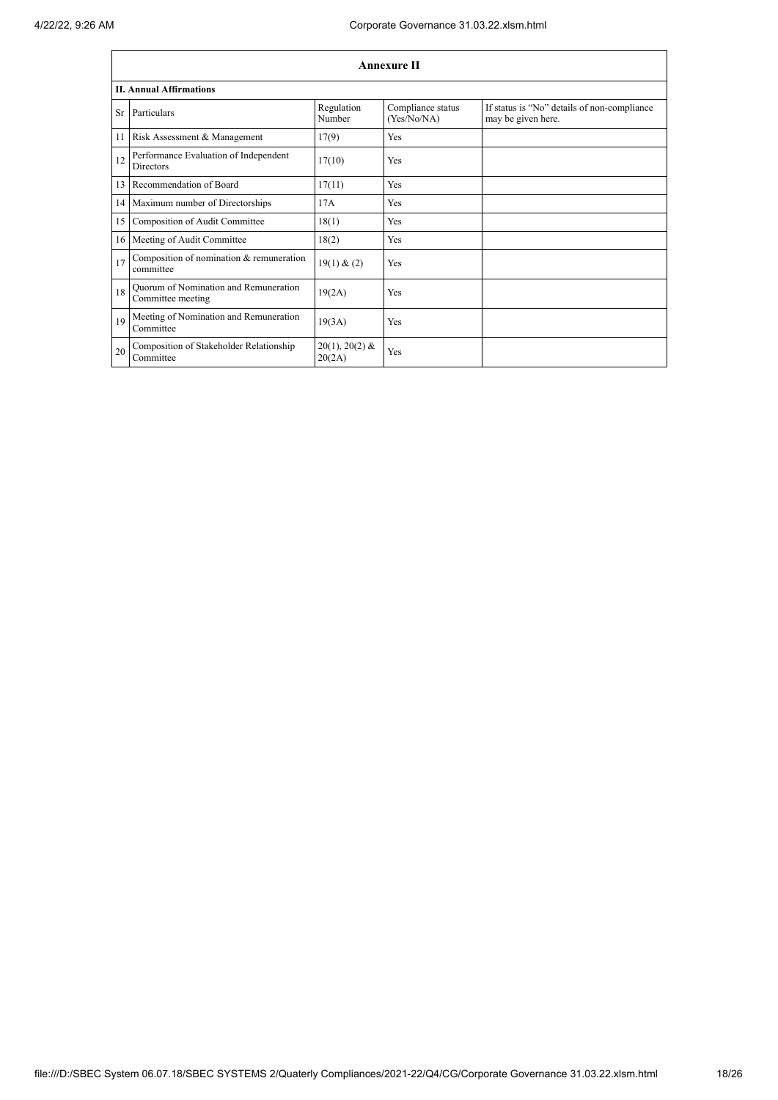|    | <b>Annexure II</b>                                         |                            |                                  |                                                                   |  |  |
|----|------------------------------------------------------------|----------------------------|----------------------------------|-------------------------------------------------------------------|--|--|
|    | <b>II. Annual Affirmations</b>                             |                            |                                  |                                                                   |  |  |
|    | Sr Particulars                                             | Regulation<br>Number       | Compliance status<br>(Yes/No/NA) | If status is "No" details of non-compliance<br>may be given here. |  |  |
| 11 | Risk Assessment & Management                               | 17(9)                      | Yes                              |                                                                   |  |  |
| 12 | Performance Evaluation of Independent<br><b>Directors</b>  | 17(10)                     | Yes                              |                                                                   |  |  |
| 13 | Recommendation of Board                                    | 17(11)                     | Yes                              |                                                                   |  |  |
|    | 14 Maximum number of Directorships                         | 17A                        | Yes                              |                                                                   |  |  |
| 15 | Composition of Audit Committee                             | 18(1)                      | Yes                              |                                                                   |  |  |
| 16 | Meeting of Audit Committee                                 | 18(2)                      | Yes                              |                                                                   |  |  |
| 17 | Composition of nomination & remuneration<br>committee      | 19(1) & (2)                | Yes                              |                                                                   |  |  |
| 18 | Quorum of Nomination and Remuneration<br>Committee meeting | 19(2A)                     | Yes                              |                                                                   |  |  |
| 19 | Meeting of Nomination and Remuneration<br>Committee        | 19(3A)                     | Yes                              |                                                                   |  |  |
| 20 | Composition of Stakeholder Relationship<br>Committee       | $20(1), 20(2)$ &<br>20(2A) | Yes                              |                                                                   |  |  |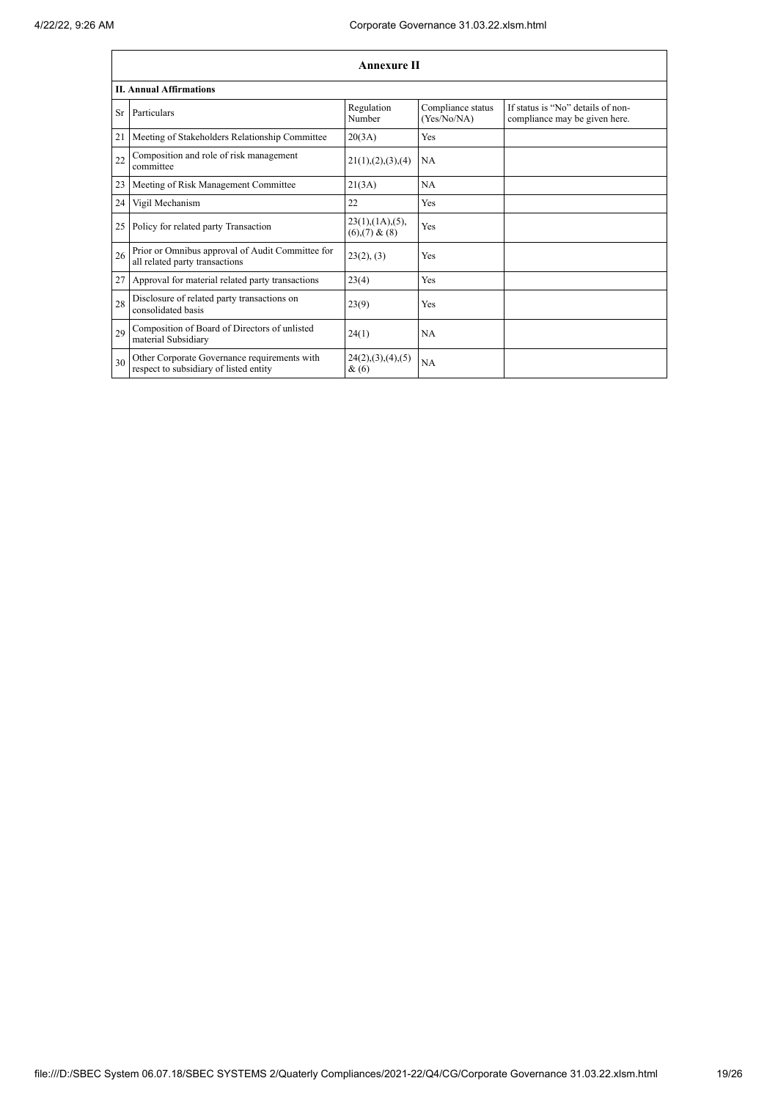|     | <b>Annexure II</b>                                                                     |                                                |                                  |                                                                    |  |
|-----|----------------------------------------------------------------------------------------|------------------------------------------------|----------------------------------|--------------------------------------------------------------------|--|
|     | <b>II. Annual Affirmations</b>                                                         |                                                |                                  |                                                                    |  |
| Sr. | Particulars                                                                            | Regulation<br>Number                           | Compliance status<br>(Yes/No/NA) | If status is "No" details of non-<br>compliance may be given here. |  |
| 21  | Meeting of Stakeholders Relationship Committee                                         | 20(3A)                                         | Yes                              |                                                                    |  |
| 22  | Composition and role of risk management<br>committee                                   | 21(1), (2), (3), (4)                           | NA                               |                                                                    |  |
| 23  | Meeting of Risk Management Committee                                                   | 21(3A)                                         | <b>NA</b>                        |                                                                    |  |
| 24  | Vigil Mechanism                                                                        | 22                                             | Yes                              |                                                                    |  |
| 25  | Policy for related party Transaction                                                   | $23(1)$ , $(1A)$ , $(5)$ ,<br>$(6)(7)$ & $(8)$ | Yes                              |                                                                    |  |
| 26  | Prior or Omnibus approval of Audit Committee for<br>all related party transactions     | 23(2), (3)                                     | Yes                              |                                                                    |  |
| 27  | Approval for material related party transactions                                       | 23(4)                                          | Yes                              |                                                                    |  |
| 28  | Disclosure of related party transactions on<br>consolidated basis                      | 23(9)                                          | Yes                              |                                                                    |  |
| 29  | Composition of Board of Directors of unlisted<br>material Subsidiary                   | 24(1)                                          | NA                               |                                                                    |  |
| 30  | Other Corporate Governance requirements with<br>respect to subsidiary of listed entity | 24(2), (3), (4), (5)<br>&(6)                   | <b>NA</b>                        |                                                                    |  |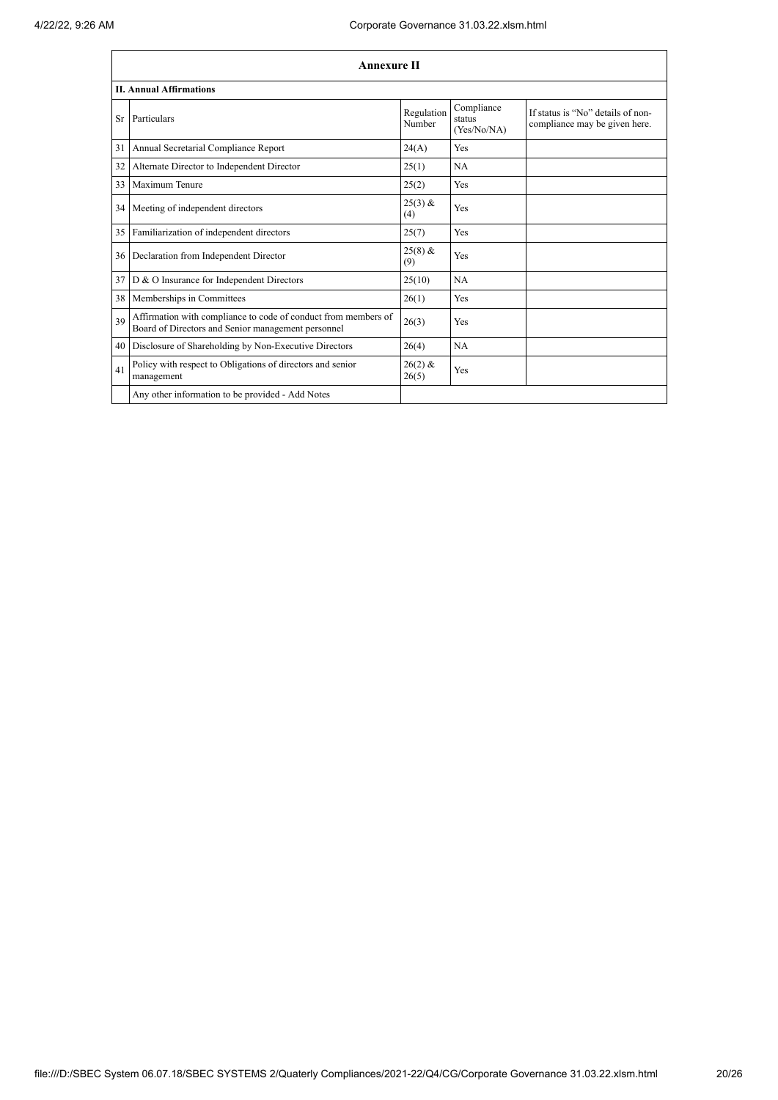|    | <b>Annexure II</b>                                                                                                   |                      |                                     |                                                                    |  |
|----|----------------------------------------------------------------------------------------------------------------------|----------------------|-------------------------------------|--------------------------------------------------------------------|--|
|    | <b>II. Annual Affirmations</b>                                                                                       |                      |                                     |                                                                    |  |
| Sr | Particulars                                                                                                          | Regulation<br>Number | Compliance<br>status<br>(Yes/No/NA) | If status is "No" details of non-<br>compliance may be given here. |  |
| 31 | Annual Secretarial Compliance Report                                                                                 | 24(A)                | Yes                                 |                                                                    |  |
| 32 | Alternate Director to Independent Director                                                                           | 25(1)                | NA                                  |                                                                    |  |
| 33 | Maximum Tenure                                                                                                       | 25(2)                | Yes                                 |                                                                    |  |
| 34 | Meeting of independent directors                                                                                     | $25(3)$ &<br>(4)     | Yes                                 |                                                                    |  |
| 35 | Familiarization of independent directors                                                                             | 25(7)                | Yes                                 |                                                                    |  |
| 36 | Declaration from Independent Director                                                                                | $25(8)$ &<br>(9)     | Yes                                 |                                                                    |  |
| 37 | D & O Insurance for Independent Directors                                                                            | 25(10)               | NA                                  |                                                                    |  |
| 38 | Memberships in Committees                                                                                            | 26(1)                | Yes                                 |                                                                    |  |
| 39 | Affirmation with compliance to code of conduct from members of<br>Board of Directors and Senior management personnel | 26(3)                | Yes                                 |                                                                    |  |
| 40 | Disclosure of Shareholding by Non-Executive Directors                                                                | 26(4)                | NA                                  |                                                                    |  |
| 41 | Policy with respect to Obligations of directors and senior<br>management                                             | $26(2)$ &<br>26(5)   | Yes                                 |                                                                    |  |
|    | Any other information to be provided - Add Notes                                                                     |                      |                                     |                                                                    |  |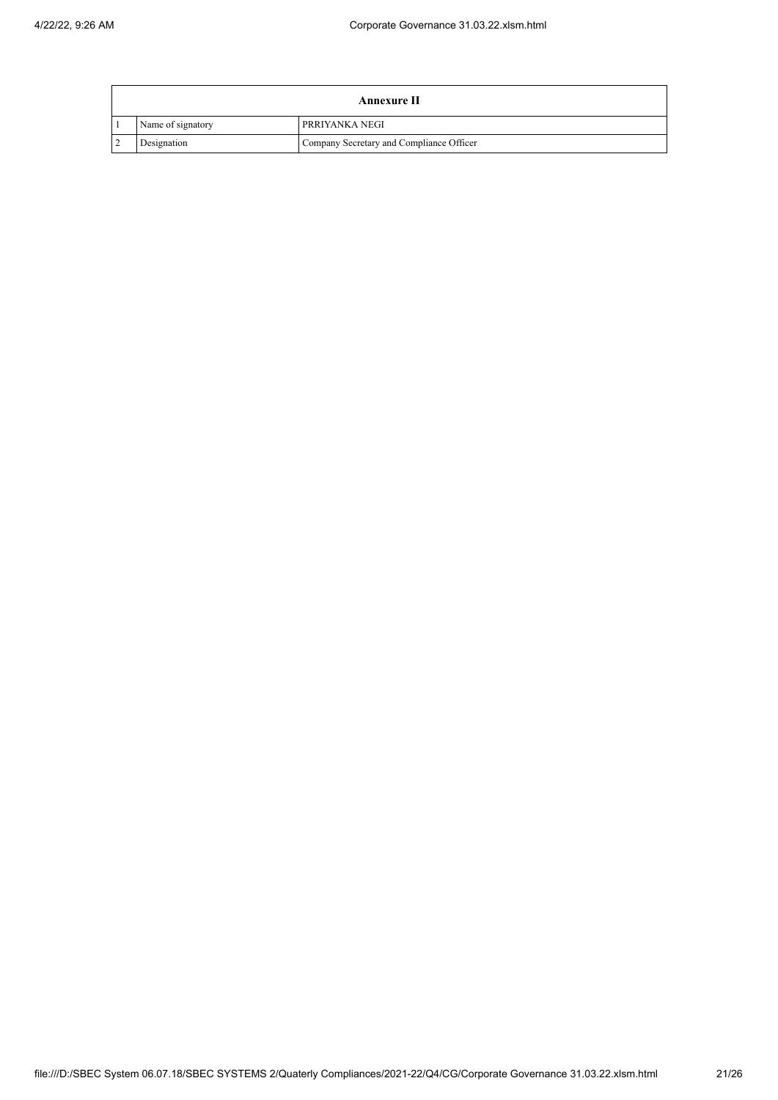| Annexure II       |                                          |  |  |
|-------------------|------------------------------------------|--|--|
| Name of signatory | <b>PRRIYANKA NEGI</b>                    |  |  |
| Designation       | Company Secretary and Compliance Officer |  |  |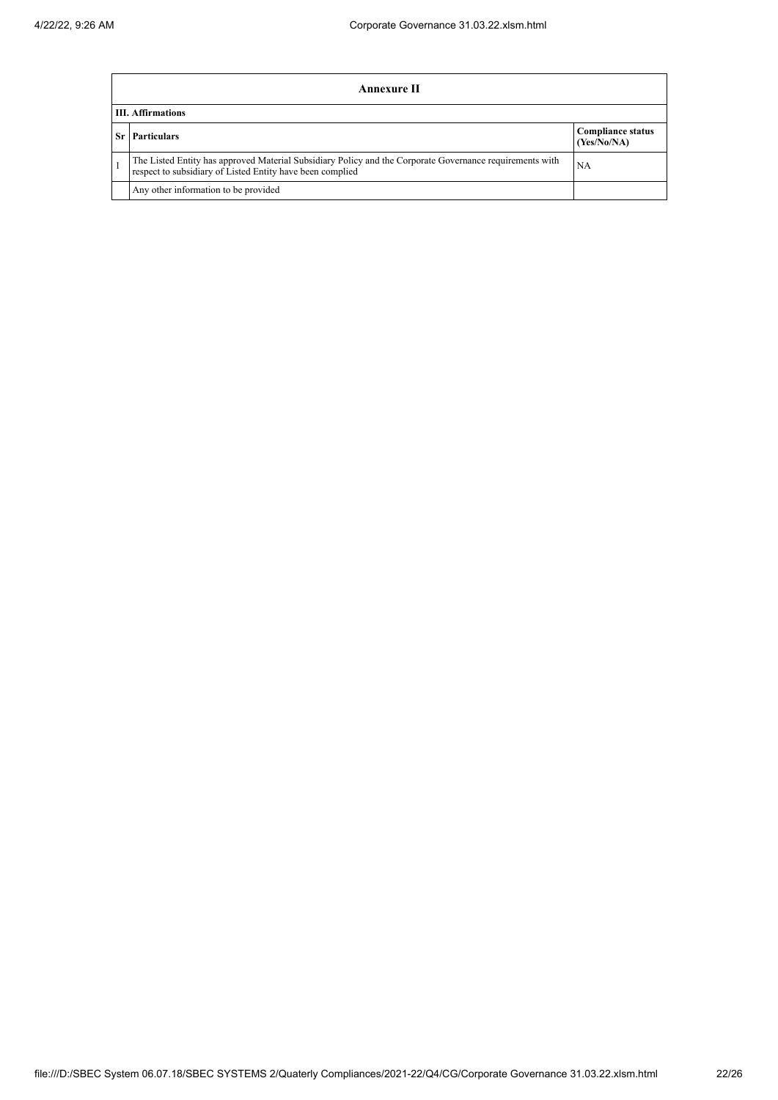| Annexure II                                                                                                                                                           |                                         |  |  |  |
|-----------------------------------------------------------------------------------------------------------------------------------------------------------------------|-----------------------------------------|--|--|--|
| <b>III.</b> Affirmations                                                                                                                                              |                                         |  |  |  |
| <b>Sr</b> Particulars                                                                                                                                                 | <b>Compliance status</b><br>(Yes/No/NA) |  |  |  |
| The Listed Entity has approved Material Subsidiary Policy and the Corporate Governance requirements with<br>respect to subsidiary of Listed Entity have been complied | NA                                      |  |  |  |
| Any other information to be provided                                                                                                                                  |                                         |  |  |  |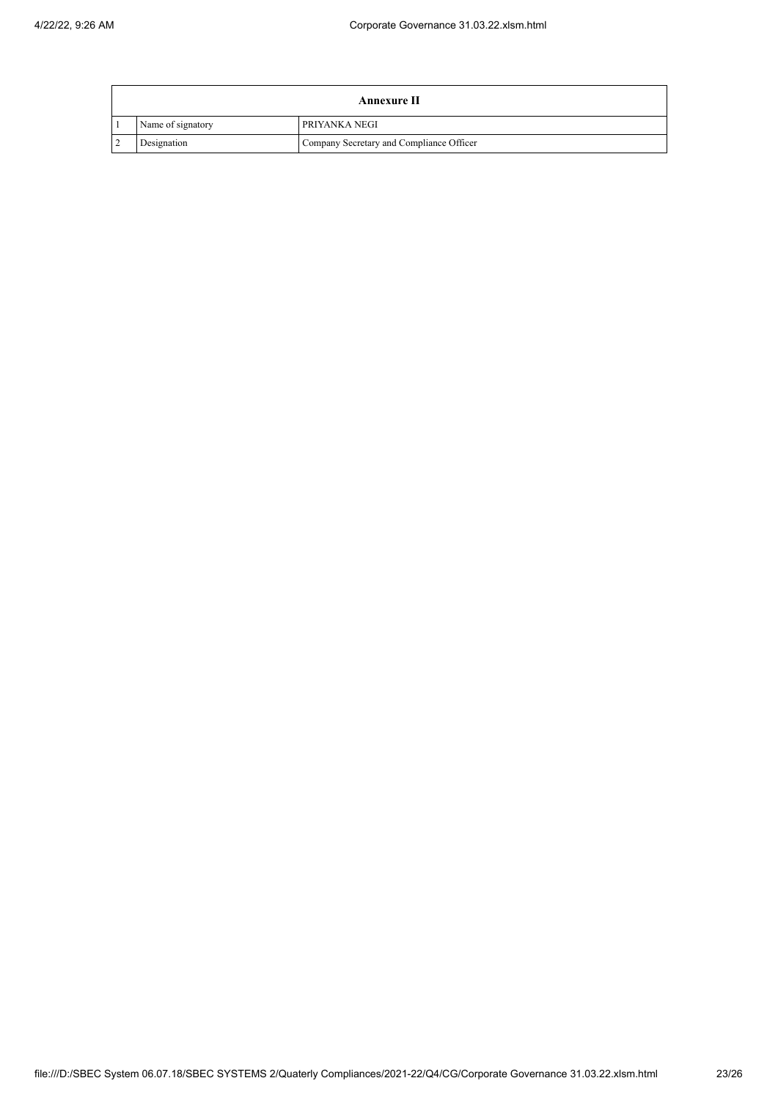| Annexure II       |                                          |  |  |
|-------------------|------------------------------------------|--|--|
| Name of signatory | <b>PRIYANKA NEGI</b>                     |  |  |
| Designation       | Company Secretary and Compliance Officer |  |  |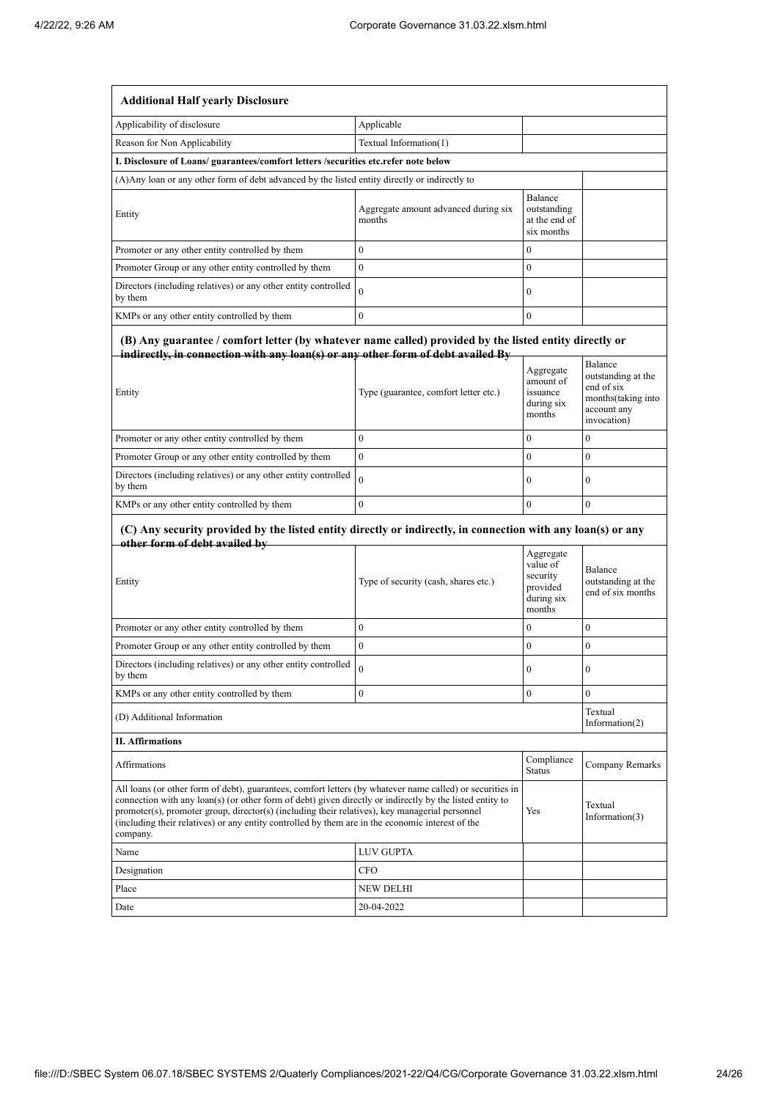| <b>Additional Half yearly Disclosure</b>                                                                                                                                                                                                                                                                                                                                                                                                |                                                |                                                                       |                                                                |
|-----------------------------------------------------------------------------------------------------------------------------------------------------------------------------------------------------------------------------------------------------------------------------------------------------------------------------------------------------------------------------------------------------------------------------------------|------------------------------------------------|-----------------------------------------------------------------------|----------------------------------------------------------------|
| Applicability of disclosure                                                                                                                                                                                                                                                                                                                                                                                                             | Applicable                                     |                                                                       |                                                                |
| Reason for Non Applicability                                                                                                                                                                                                                                                                                                                                                                                                            | Textual Information(1)                         |                                                                       |                                                                |
| I. Disclosure of Loans/ guarantees/comfort letters /securities etc.refer note below                                                                                                                                                                                                                                                                                                                                                     |                                                |                                                                       |                                                                |
| (A) Any loan or any other form of debt advanced by the listed entity directly or indirectly to                                                                                                                                                                                                                                                                                                                                          |                                                |                                                                       |                                                                |
| Entity                                                                                                                                                                                                                                                                                                                                                                                                                                  | Aggregate amount advanced during six<br>months | Balance<br>outstanding<br>at the end of<br>six months                 |                                                                |
| Promoter or any other entity controlled by them                                                                                                                                                                                                                                                                                                                                                                                         | $\theta$                                       | $\mathbf{0}$                                                          |                                                                |
| Promoter Group or any other entity controlled by them                                                                                                                                                                                                                                                                                                                                                                                   | $\mathbf{0}$                                   | $\mathbf{0}$                                                          |                                                                |
| Directors (including relatives) or any other entity controlled<br>by them                                                                                                                                                                                                                                                                                                                                                               | $\theta$                                       | $\boldsymbol{0}$                                                      |                                                                |
| KMPs or any other entity controlled by them                                                                                                                                                                                                                                                                                                                                                                                             | $\mathbf{0}$                                   | $\mathbf{0}$                                                          |                                                                |
| (B) Any guarantee / comfort letter (by whatever name called) provided by the listed entity directly or<br>indirectly, in connection with any loan(s) or any other form of debt availed By                                                                                                                                                                                                                                               |                                                | Aggregate<br>amount of                                                | Balance<br>outstanding at the                                  |
| Entity                                                                                                                                                                                                                                                                                                                                                                                                                                  | Type (guarantee, comfort letter etc.)          | issuance<br>during six<br>months                                      | end of six<br>months(taking into<br>account any<br>invocation) |
| Promoter or any other entity controlled by them                                                                                                                                                                                                                                                                                                                                                                                         | $\mathbf{0}$                                   | $\mathbf{0}$                                                          | $\boldsymbol{0}$                                               |
| Promoter Group or any other entity controlled by them                                                                                                                                                                                                                                                                                                                                                                                   | $\mathbf{0}$                                   | $\mathbf{0}$                                                          | $\overline{0}$                                                 |
| Directors (including relatives) or any other entity controlled<br>by them                                                                                                                                                                                                                                                                                                                                                               | $\theta$                                       | $\mathbf{0}$                                                          | $\mathbf{0}$                                                   |
| KMPs or any other entity controlled by them                                                                                                                                                                                                                                                                                                                                                                                             | $\mathbf{0}$                                   | $\theta$                                                              | $\mathbf{0}$                                                   |
| (C) Any security provided by the listed entity directly or indirectly, in connection with any loan(s) or any<br>other form of debt availed by<br>Entity                                                                                                                                                                                                                                                                                 | Type of security (cash, shares etc.)           | Aggregate<br>value of<br>security<br>provided<br>during six<br>months | Balance<br>outstanding at the<br>end of six months             |
| Promoter or any other entity controlled by them                                                                                                                                                                                                                                                                                                                                                                                         | $\bf{0}$                                       | $\bf{0}$                                                              | $\boldsymbol{0}$                                               |
| Promoter Group or any other entity controlled by them                                                                                                                                                                                                                                                                                                                                                                                   | $\mathbf{0}$                                   | $\boldsymbol{0}$                                                      | $\boldsymbol{0}$                                               |
| Directors (including relatives) or any other entity controlled<br>by them                                                                                                                                                                                                                                                                                                                                                               | $\theta$                                       | $\boldsymbol{0}$                                                      | $\boldsymbol{0}$                                               |
| KMPs or any other entity controlled by them                                                                                                                                                                                                                                                                                                                                                                                             | $\boldsymbol{0}$                               | $\boldsymbol{0}$                                                      | $\boldsymbol{0}$                                               |
| (D) Additional Information                                                                                                                                                                                                                                                                                                                                                                                                              |                                                |                                                                       | Textual<br>Information(2)                                      |
| <b>II. Affirmations</b>                                                                                                                                                                                                                                                                                                                                                                                                                 |                                                |                                                                       |                                                                |
| Affirmations                                                                                                                                                                                                                                                                                                                                                                                                                            |                                                | Compliance<br><b>Status</b>                                           | Company Remarks                                                |
| All loans (or other form of debt), guarantees, comfort letters (by whatever name called) or securities in<br>connection with any loan(s) (or other form of debt) given directly or indirectly by the listed entity to<br>promoter(s), promoter group, director(s) (including their relatives), key managerial personnel<br>(including their relatives) or any entity controlled by them are in the economic interest of the<br>company. |                                                | Yes                                                                   | Textual<br>Information(3)                                      |
| Name                                                                                                                                                                                                                                                                                                                                                                                                                                    | <b>LUV GUPTA</b>                               |                                                                       |                                                                |
| Designation                                                                                                                                                                                                                                                                                                                                                                                                                             | CFO                                            |                                                                       |                                                                |
| Place                                                                                                                                                                                                                                                                                                                                                                                                                                   | NEW DELHI                                      |                                                                       |                                                                |
| Date                                                                                                                                                                                                                                                                                                                                                                                                                                    | 20-04-2022                                     |                                                                       |                                                                |